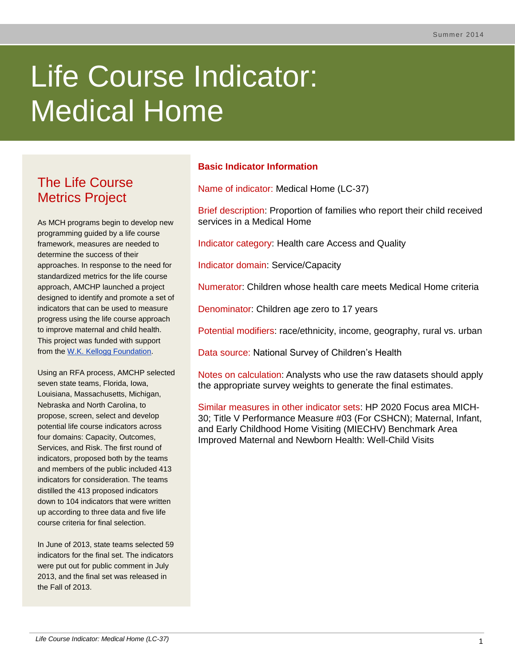# Life Course Indicator: Medical Home

# The Life Course Metrics Project

As MCH programs begin to develop new programming guided by a life course framework, measures are needed to determine the success of their approaches. In response to the need for standardized metrics for the life course approach, AMCHP launched a project designed to identify and promote a set of indicators that can be used to measure progress using the life course approach to improve maternal and child health. This project was funded with support from the [W.K. Kellogg Foundation.](http://www.wkkf.org/)

Using an RFA process, AMCHP selected seven state teams, Florida, Iowa, Louisiana, Massachusetts, Michigan, Nebraska and North Carolina, to propose, screen, select and develop potential life course indicators across four domains: Capacity, Outcomes, Services, and Risk. The first round of indicators, proposed both by the teams and members of the public included 413 indicators for consideration. The teams distilled the 413 proposed indicators down to 104 indicators that were written up according to three data and five life course criteria for final selection.

In June of 2013, state teams selected 59 indicators for the final set. The indicators were put out for public comment in July 2013, and the final set was released in the Fall of 2013.

# **Basic Indicator Information**

Name of indicator: Medical Home (LC-37)

Brief description: Proportion of families who report their child received services in a Medical Home

Indicator category: Health care Access and Quality

Indicator domain: Service/Capacity

Numerator: Children whose health care meets Medical Home criteria

Denominator: Children age zero to 17 years

Potential modifiers: race/ethnicity, income, geography, rural vs. urban

Data source: National Survey of Children's Health

Notes on calculation: Analysts who use the raw datasets should apply the appropriate survey weights to generate the final estimates.

Similar measures in other indicator sets: HP 2020 Focus area MICH-30; Title V Performance Measure #03 (For CSHCN); Maternal, Infant, and Early Childhood Home Visiting (MIECHV) Benchmark Area Improved Maternal and Newborn Health: Well-Child Visits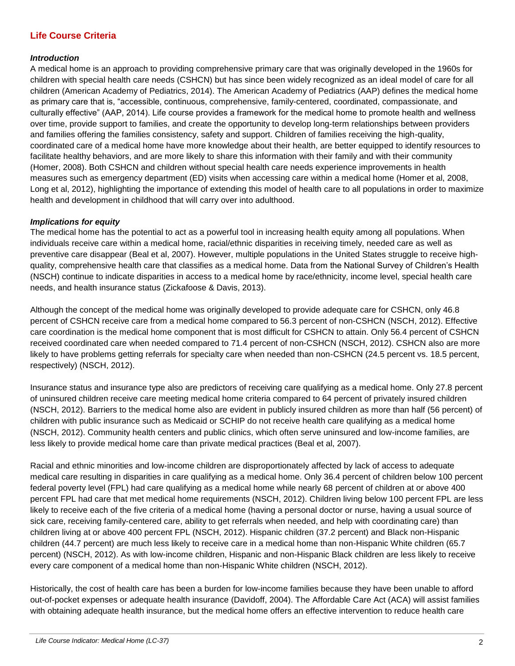# **Life Course Criteria**

#### *Introduction*

A medical home is an approach to providing comprehensive primary care that was originally developed in the 1960s for children with special health care needs (CSHCN) but has since been widely recognized as an ideal model of care for all children (American Academy of Pediatrics, 2014). The American Academy of Pediatrics (AAP) defines the medical home as primary care that is, "accessible, continuous, comprehensive, family-centered, coordinated, compassionate, and culturally effective" (AAP, 2014). Life course provides a framework for the medical home to promote health and wellness over time, provide support to families, and create the opportunity to develop long-term relationships between providers and families offering the families consistency, safety and support. Children of families receiving the high-quality, coordinated care of a medical home have more knowledge about their health, are better equipped to identify resources to facilitate healthy behaviors, and are more likely to share this information with their family and with their community (Homer, 2008). Both CSHCN and children without special health care needs experience improvements in health measures such as emergency department (ED) visits when accessing care within a medical home (Homer et al, 2008, Long et al, 2012), highlighting the importance of extending this model of health care to all populations in order to maximize health and development in childhood that will carry over into adulthood.

#### *Implications for equity*

The medical home has the potential to act as a powerful tool in increasing health equity among all populations. When individuals receive care within a medical home, racial/ethnic disparities in receiving timely, needed care as well as preventive care disappear (Beal et al, 2007). However, multiple populations in the United States struggle to receive highquality, comprehensive health care that classifies as a medical home. Data from the National Survey of Children's Health (NSCH) continue to indicate disparities in access to a medical home by race/ethnicity, income level, special health care needs, and health insurance status (Zickafoose & Davis, 2013).

Although the concept of the medical home was originally developed to provide adequate care for CSHCN, only 46.8 percent of CSHCN receive care from a medical home compared to 56.3 percent of non-CSHCN (NSCH, 2012). Effective care coordination is the medical home component that is most difficult for CSHCN to attain. Only 56.4 percent of CSHCN received coordinated care when needed compared to 71.4 percent of non-CSHCN (NSCH, 2012). CSHCN also are more likely to have problems getting referrals for specialty care when needed than non-CSHCN (24.5 percent vs. 18.5 percent, respectively) (NSCH, 2012).

Insurance status and insurance type also are predictors of receiving care qualifying as a medical home. Only 27.8 percent of uninsured children receive care meeting medical home criteria compared to 64 percent of privately insured children (NSCH, 2012). Barriers to the medical home also are evident in publicly insured children as more than half (56 percent) of children with public insurance such as Medicaid or SCHIP do not receive health care qualifying as a medical home (NSCH, 2012). Community health centers and public clinics, which often serve uninsured and low-income families, are less likely to provide medical home care than private medical practices (Beal et al, 2007).

Racial and ethnic minorities and low-income children are disproportionately affected by lack of access to adequate medical care resulting in disparities in care qualifying as a medical home. Only 36.4 percent of children below 100 percent federal poverty level (FPL) had care qualifying as a medical home while nearly 68 percent of children at or above 400 percent FPL had care that met medical home requirements (NSCH, 2012). Children living below 100 percent FPL are less likely to receive each of the five criteria of a medical home (having a personal doctor or nurse, having a usual source of sick care, receiving family-centered care, ability to get referrals when needed, and help with coordinating care) than children living at or above 400 percent FPL (NSCH, 2012). Hispanic children (37.2 percent) and Black non-Hispanic children (44.7 percent) are much less likely to receive care in a medical home than non-Hispanic White children (65.7 percent) (NSCH, 2012). As with low-income children, Hispanic and non-Hispanic Black children are less likely to receive every care component of a medical home than non-Hispanic White children (NSCH, 2012).

Historically, the cost of health care has been a burden for low-income families because they have been unable to afford out-of-pocket expenses or adequate health insurance (Davidoff, 2004). The Affordable Care Act (ACA) will assist families with obtaining adequate health insurance, but the medical home offers an effective intervention to reduce health care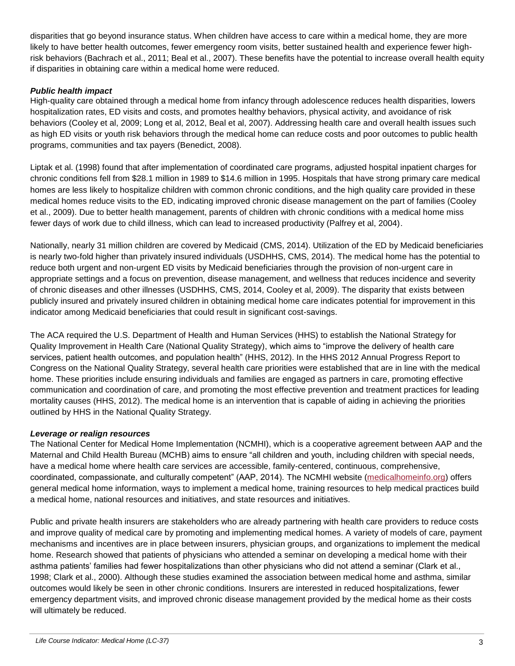disparities that go beyond insurance status. When children have access to care within a medical home, they are more likely to have better health outcomes, fewer emergency room visits, better sustained health and experience fewer highrisk behaviors (Bachrach et al., 2011; Beal et al., 2007). These benefits have the potential to increase overall health equity if disparities in obtaining care within a medical home were reduced.

### *Public health impact*

High-quality care obtained through a medical home from infancy through adolescence reduces health disparities, lowers hospitalization rates, ED visits and costs, and promotes healthy behaviors, physical activity, and avoidance of risk behaviors (Cooley et al, 2009; Long et al, 2012, Beal et al, 2007). Addressing health care and overall health issues such as high ED visits or youth risk behaviors through the medical home can reduce costs and poor outcomes to public health programs, communities and tax payers (Benedict, 2008).

Liptak et al. (1998) found that after implementation of coordinated care programs, adjusted hospital inpatient charges for chronic conditions fell from \$28.1 million in 1989 to \$14.6 million in 1995. Hospitals that have strong primary care medical homes are less likely to hospitalize children with common chronic conditions, and the high quality care provided in these medical homes reduce visits to the ED, indicating improved chronic disease management on the part of families (Cooley et al., 2009). Due to better health management, parents of children with chronic conditions with a medical home miss fewer days of work due to child illness, which can lead to increased productivity (Palfrey et al, 2004).

Nationally, nearly 31 million children are covered by Medicaid (CMS, 2014). Utilization of the ED by Medicaid beneficiaries is nearly two-fold higher than privately insured individuals (USDHHS, CMS, 2014). The medical home has the potential to reduce both urgent and non-urgent ED visits by Medicaid beneficiaries through the provision of non-urgent care in appropriate settings and a focus on prevention, disease management, and wellness that reduces incidence and severity of chronic diseases and other illnesses (USDHHS, CMS, 2014, Cooley et al, 2009). The disparity that exists between publicly insured and privately insured children in obtaining medical home care indicates potential for improvement in this indicator among Medicaid beneficiaries that could result in significant cost-savings.

The ACA required the U.S. Department of Health and Human Services (HHS) to establish the National Strategy for Quality Improvement in Health Care (National Quality Strategy), which aims to "improve the delivery of health care services, patient health outcomes, and population health" (HHS, 2012). In the HHS 2012 Annual Progress Report to Congress on the National Quality Strategy, several health care priorities were established that are in line with the medical home. These priorities include ensuring individuals and families are engaged as partners in care, promoting effective communication and coordination of care, and promoting the most effective prevention and treatment practices for leading mortality causes (HHS, 2012). The medical home is an intervention that is capable of aiding in achieving the priorities outlined by HHS in the National Quality Strategy.

#### *Leverage or realign resources*

The National Center for Medical Home Implementation (NCMHI), which is a cooperative agreement between AAP and the Maternal and Child Health Bureau (MCHB) aims to ensure "all children and youth, including children with special needs, have a medical home where health care services are accessible, family-centered, continuous, comprehensive, coordinated, compassionate, and culturally competent" (AAP, 2014). The NCMHI website [\(medicalhomeinfo.org\)](http://www.medicalhomeinfo.org/) offers general medical home information, ways to implement a medical home, training resources to help medical practices build a medical home, national resources and initiatives, and state resources and initiatives.

Public and private health insurers are stakeholders who are already partnering with health care providers to reduce costs and improve quality of medical care by promoting and implementing medical homes. A variety of models of care, payment mechanisms and incentives are in place between insurers, physician groups, and organizations to implement the medical home. Research showed that patients of physicians who attended a seminar on developing a medical home with their asthma patients' families had fewer hospitalizations than other physicians who did not attend a seminar (Clark et al., 1998; Clark et al., 2000). Although these studies examined the association between medical home and asthma, similar outcomes would likely be seen in other chronic conditions. Insurers are interested in reduced hospitalizations, fewer emergency department visits, and improved chronic disease management provided by the medical home as their costs will ultimately be reduced.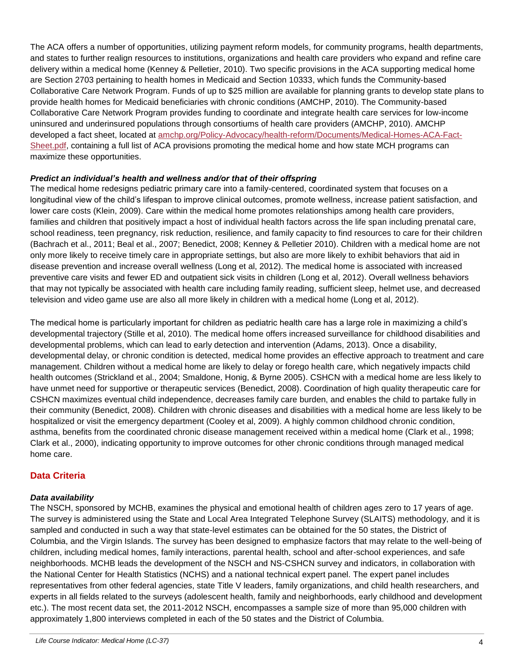The ACA offers a number of opportunities, utilizing payment reform models, for community programs, health departments, and states to further realign resources to institutions, organizations and health care providers who expand and refine care delivery within a medical home (Kenney & Pelletier, 2010). Two specific provisions in the ACA supporting medical home are Section 2703 pertaining to health homes in Medicaid and Section 10333, which funds the Community-based Collaborative Care Network Program. Funds of up to \$25 million are available for planning grants to develop state plans to provide health homes for Medicaid beneficiaries with chronic conditions (AMCHP, 2010). The Community-based Collaborative Care Network Program provides funding to coordinate and integrate health care services for low-income uninsured and underinsured populations through consortiums of health care providers (AMCHP, 2010). AMCHP developed a fact sheet, located at [amchp.org/Policy-Advocacy/health-reform/Documents/Medical-Homes-ACA-Fact-](http://www.amchp.org/Policy-Advocacy/health-reform/Documents/Medical-Homes-ACA-Fact-Sheet.pdf)[Sheet.pdf,](http://www.amchp.org/Policy-Advocacy/health-reform/Documents/Medical-Homes-ACA-Fact-Sheet.pdf) containing a full list of ACA provisions promoting the medical home and how state MCH programs can maximize these opportunities.

#### *Predict an individual's health and wellness and/or that of their offspring*

The medical home redesigns pediatric primary care into a family-centered, coordinated system that focuses on a longitudinal view of the child's lifespan to improve clinical outcomes, promote wellness, increase patient satisfaction, and lower care costs (Klein, 2009). Care within the medical home promotes relationships among health care providers, families and children that positively impact a host of individual health factors across the life span including prenatal care, school readiness, teen pregnancy, risk reduction, resilience, and family capacity to find resources to care for their children (Bachrach et al., 2011; Beal et al., 2007; Benedict, 2008; Kenney & Pelletier 2010). Children with a medical home are not only more likely to receive timely care in appropriate settings, but also are more likely to exhibit behaviors that aid in disease prevention and increase overall wellness (Long et al, 2012). The medical home is associated with increased preventive care visits and fewer ED and outpatient sick visits in children (Long et al, 2012). Overall wellness behaviors that may not typically be associated with health care including family reading, sufficient sleep, helmet use, and decreased television and video game use are also all more likely in children with a medical home (Long et al, 2012).

The medical home is particularly important for children as pediatric health care has a large role in maximizing a child's developmental trajectory (Stille et al, 2010). The medical home offers increased surveillance for childhood disabilities and developmental problems, which can lead to early detection and intervention (Adams, 2013). Once a disability, developmental delay, or chronic condition is detected, medical home provides an effective approach to treatment and care management. Children without a medical home are likely to delay or forego health care, which negatively impacts child health outcomes (Strickland et al., 2004; Smaldone, Honig, & Byrne 2005). CSHCN with a medical home are less likely to have unmet need for supportive or therapeutic services (Benedict, 2008). Coordination of high quality therapeutic care for CSHCN maximizes eventual child independence, decreases family care burden, and enables the child to partake fully in their community (Benedict, 2008). Children with chronic diseases and disabilities with a medical home are less likely to be hospitalized or visit the emergency department (Cooley et al, 2009). A highly common childhood chronic condition, asthma, benefits from the coordinated chronic disease management received within a medical home (Clark et al., 1998; Clark et al., 2000), indicating opportunity to improve outcomes for other chronic conditions through managed medical home care.

## **Data Criteria**

#### *Data availability*

The NSCH, sponsored by MCHB, examines the physical and emotional health of children ages zero to 17 years of age. The survey is administered using the State and Local Area Integrated Telephone Survey (SLAITS) methodology, and it is sampled and conducted in such a way that state-level estimates can be obtained for the 50 states, the District of Columbia, and the Virgin Islands. The survey has been designed to emphasize factors that may relate to the well-being of children, including medical homes, family interactions, parental health, school and after-school experiences, and safe neighborhoods. MCHB leads the development of the NSCH and NS-CSHCN survey and indicators, in collaboration with the National Center for Health Statistics (NCHS) and a national technical expert panel. The expert panel includes representatives from other federal agencies, state Title V leaders, family organizations, and child health researchers, and experts in all fields related to the surveys (adolescent health, family and neighborhoods, early childhood and development etc.). The most recent data set, the 2011-2012 NSCH, encompasses a sample size of more than 95,000 children with approximately 1,800 interviews completed in each of the 50 states and the District of Columbia.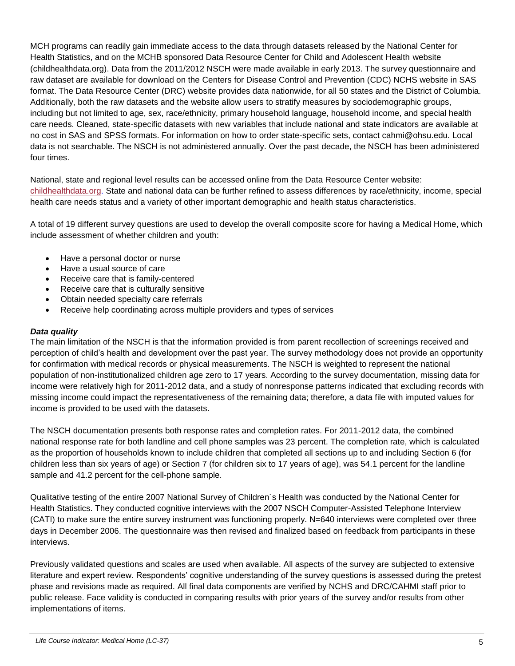MCH programs can readily gain immediate access to the data through datasets released by the National Center for Health Statistics, and on the MCHB sponsored Data Resource Center for Child and Adolescent Health website (childhealthdata.org). Data from the 2011/2012 NSCH were made available in early 2013. The survey questionnaire and raw dataset are available for download on the Centers for Disease Control and Prevention (CDC) NCHS website in SAS format. The Data Resource Center (DRC) website provides data nationwide, for all 50 states and the District of Columbia. Additionally, both the raw datasets and the website allow users to stratify measures by sociodemographic groups, including but not limited to age, sex, race/ethnicity, primary household language, household income, and special health care needs. Cleaned, state-specific datasets with new variables that include national and state indicators are available at no cost in SAS and SPSS formats. For information on how to order state-specific sets, contact cahmi@ohsu.edu. Local data is not searchable. The NSCH is not administered annually. Over the past decade, the NSCH has been administered four times.

National, state and regional level results can be accessed online from the Data Resource Center website: [childhealthdata.org.](http://www.childhealthdata.org/) State and national data can be further refined to assess differences by race/ethnicity, income, special health care needs status and a variety of other important demographic and health status characteristics.

A total of 19 different survey questions are used to develop the overall composite score for having a Medical Home, which include assessment of whether children and youth:

- Have a personal doctor or nurse
- Have a usual source of care
- Receive care that is family-centered
- Receive care that is culturally sensitive
- Obtain needed specialty care referrals
- Receive help coordinating across multiple providers and types of services

#### *Data quality*

The main limitation of the NSCH is that the information provided is from parent recollection of screenings received and perception of child's health and development over the past year. The survey methodology does not provide an opportunity for confirmation with medical records or physical measurements. The NSCH is weighted to represent the national population of non-institutionalized children age zero to 17 years. According to the survey documentation, missing data for income were relatively high for 2011-2012 data, and a study of nonresponse patterns indicated that excluding records with missing income could impact the representativeness of the remaining data; therefore, a data file with imputed values for income is provided to be used with the datasets.

The NSCH documentation presents both response rates and completion rates. For 2011-2012 data, the combined national response rate for both landline and cell phone samples was 23 percent. The completion rate, which is calculated as the proportion of households known to include children that completed all sections up to and including Section 6 (for children less than six years of age) or Section 7 (for children six to 17 years of age), was 54.1 percent for the landline sample and 41.2 percent for the cell-phone sample.

Qualitative testing of the entire 2007 National Survey of Children´s Health was conducted by the National Center for Health Statistics. They conducted cognitive interviews with the 2007 NSCH Computer-Assisted Telephone Interview (CATI) to make sure the entire survey instrument was functioning properly. N=640 interviews were completed over three days in December 2006. The questionnaire was then revised and finalized based on feedback from participants in these interviews.

Previously validated questions and scales are used when available. All aspects of the survey are subjected to extensive literature and expert review. Respondents' cognitive understanding of the survey questions is assessed during the pretest phase and revisions made as required. All final data components are verified by NCHS and DRC/CAHMI staff prior to public release. Face validity is conducted in comparing results with prior years of the survey and/or results from other implementations of items.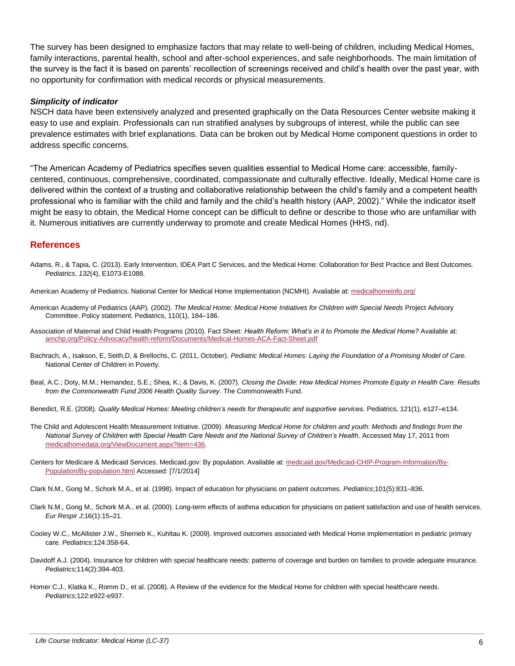The survey has been designed to emphasize factors that may relate to well-being of children, including Medical Homes, family interactions, parental health, school and after-school experiences, and safe neighborhoods. The main limitation of the survey is the fact it is based on parents' recollection of screenings received and child's health over the past year, with no opportunity for confirmation with medical records or physical measurements.

#### *Simplicity of indicator*

NSCH data have been extensively analyzed and presented graphically on the Data Resources Center website making it easy to use and explain. Professionals can run stratified analyses by subgroups of interest, while the public can see prevalence estimates with brief explanations. Data can be broken out by Medical Home component questions in order to address specific concerns.

"The American Academy of Pediatrics specifies seven qualities essential to Medical Home care: accessible, familycentered, continuous, comprehensive, coordinated, compassionate and culturally effective. Ideally, Medical Home care is delivered within the context of a trusting and collaborative relationship between the child's family and a competent health professional who is familiar with the child and family and the child's health history (AAP, 2002)." While the indicator itself might be easy to obtain, the Medical Home concept can be difficult to define or describe to those who are unfamiliar with it. Numerous initiatives are currently underway to promote and create Medical Homes (HHS, nd).

#### **References**

- Adams, R., & Tapia, C. (2013). Early Intervention, IDEA Part C Services, and the Medical Home: Collaboration for Best Practice and Best Outcomes. *Pediatrics*, *132*(4), E1073-E1088.
- American Academy of Pediatrics. National Center for Medical Home Implementation (NCMHI). Available at[: medicalhomeinfo.org/](http://www.medicalhomeinfo.org/)
- American Academy of Pediatrics (AAP). (2002). *The Medical Home: Medical Home Initiatives for Children with Special Needs* Project Advisory Committee. Policy statement. Pediatrics, 110(1), 184–186.
- Association of Maternal and Child Health Programs (2010). Fact Sheet: *Health Reform: What's in it to Promote the Medical Home?* Available at: [amchp.org/Policy-Advocacy/health-reform/Documents/Medical-Homes-ACA-Fact-Sheet.pdf](http://www.amchp.org/Policy-Advocacy/health-reform/Documents/Medical-Homes-ACA-Fact-Sheet.pdf)
- Bachrach, A., Isakson, E, Seith,D, & Brellochs, C. (2011, October). *Pediatric Medical Homes: Laying the Foundation of a Promising Model of Care*. National Center of Children in Poverty.
- Beal, A.C.; Doty, M.M.; Hernandez, S.E.; Shea, K.; & Davis, K. (2007). *Closing the Divide: How Medical Homes Promote Equity in Health Care: Results from the Commonwealth Fund 2006 Health Quality Survey*. The Commonwealth Fund.
- Benedict, R.E. (2008). *Quality Medical Homes: Meeting children's needs for therapeutic and supportive services.* Pediatrics, 121(1), e127–e134.
- The Child and Adolescent Health Measurement Initiative. (2009). *Measuring Medical Home for children and youth: Methods and findings from the National Survey of Children with Special Health Care Needs and the National Survey of Children's Health*. Accessed May 17, 2011 from [medicalhomedata.org/ViewDocument.aspx?item=436.](http://medicalhomedata.org/ViewDocument.aspx?item=436)
- Centers for Medicare & Medicaid Services. Medicaid.gov: By population. Available at: [medicaid.gov/Medicaid-CHIP-Program-Information/By-](http://www.medicaid.gov/Medicaid-CHIP-Program-Information/By-Population/By-population.html)[Population/By-population.html](http://www.medicaid.gov/Medicaid-CHIP-Program-Information/By-Population/By-population.html) Accessed: [7/1/2014]
- Clark N.M., Gong M., Schork M.A., et al. (1998). Impact of education for physicians on patient outcomes. *Pediatrics*;101(5):831–836.
- Clark N.M., Gong M., Schork M.A., et al. (2000). Long-term effects of asthma education for physicians on patient satisfaction and use of health services. *Eur Respir J*;16(1):15–21.
- Cooley W.C., McAllister J.W., Sherrieb K., Kuhltau K. (2009). Improved outcomes associated with Medical Home implementation in pediatric primary care. *Pediatrics*;124:358-64.
- Davidoff A.J. (2004). Insurance for children with special healthcare needs: patterns of coverage and burden on families to provide adequate insurance. *Pediatrics*;114(2):394-403.
- Homer C.J., Klatka K., Romm D., et al. (2008). A Review of the evidence for the Medical Home for children with special healthcare needs. *Pediatrics*;122:e922-e937.